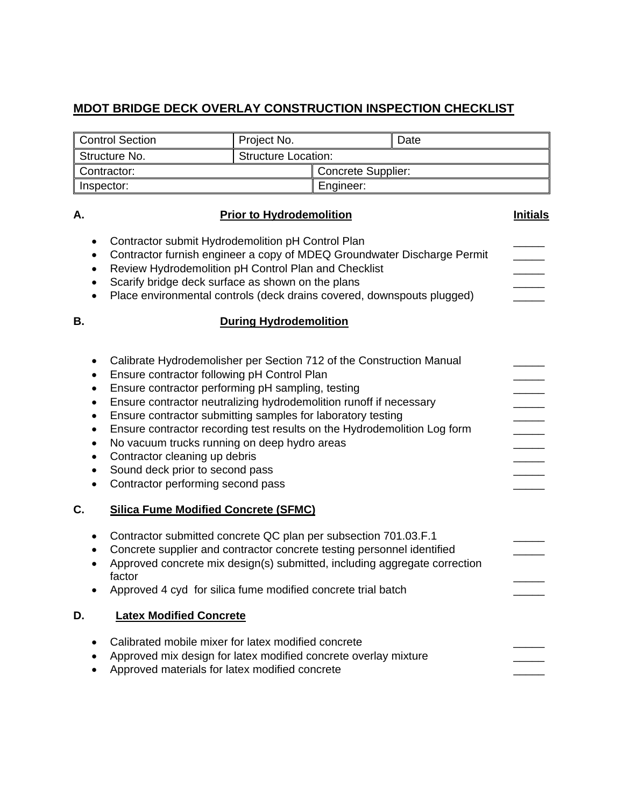## **MDOT BRIDGE DECK OVERLAY CONSTRUCTION INSPECTION CHECKLIST**

| <b>Structure Location:</b><br>Structure No.<br>Concrete Supplier:<br>Contractor:<br>Inspector:<br>Engineer:<br><b>Prior to Hydrodemolition</b><br>Contractor submit Hydrodemolition pH Control Plan<br>Contractor furnish engineer a copy of MDEQ Groundwater Discharge Permit<br>٠<br>Review Hydrodemolition pH Control Plan and Checklist<br>Scarify bridge deck surface as shown on the plans<br>Place environmental controls (deck drains covered, downspouts plugged)<br><b>During Hydrodemolition</b><br>Calibrate Hydrodemolisher per Section 712 of the Construction Manual<br>Ensure contractor following pH Control Plan<br>Ensure contractor performing pH sampling, testing<br>$\bullet$ |                 | Date |  | Project No. | <b>Control Section</b> |           |  |
|------------------------------------------------------------------------------------------------------------------------------------------------------------------------------------------------------------------------------------------------------------------------------------------------------------------------------------------------------------------------------------------------------------------------------------------------------------------------------------------------------------------------------------------------------------------------------------------------------------------------------------------------------------------------------------------------------|-----------------|------|--|-------------|------------------------|-----------|--|
|                                                                                                                                                                                                                                                                                                                                                                                                                                                                                                                                                                                                                                                                                                      |                 |      |  |             |                        |           |  |
| А.<br>В.                                                                                                                                                                                                                                                                                                                                                                                                                                                                                                                                                                                                                                                                                             |                 |      |  |             |                        |           |  |
|                                                                                                                                                                                                                                                                                                                                                                                                                                                                                                                                                                                                                                                                                                      |                 |      |  |             |                        |           |  |
|                                                                                                                                                                                                                                                                                                                                                                                                                                                                                                                                                                                                                                                                                                      | <b>Initials</b> |      |  |             |                        |           |  |
|                                                                                                                                                                                                                                                                                                                                                                                                                                                                                                                                                                                                                                                                                                      |                 |      |  |             |                        |           |  |
|                                                                                                                                                                                                                                                                                                                                                                                                                                                                                                                                                                                                                                                                                                      |                 |      |  |             |                        |           |  |
| Ensure contractor neutralizing hydrodemolition runoff if necessary<br>Ensure contractor submitting samples for laboratory testing<br>$\bullet$<br>Ensure contractor recording test results on the Hydrodemolition Log form<br>٠<br>No vacuum trucks running on deep hydro areas<br>$\bullet$<br>Contractor cleaning up debris<br>$\bullet$<br>Sound deck prior to second pass<br>$\bullet$<br>Contractor performing second pass                                                                                                                                                                                                                                                                      |                 |      |  |             |                        | $\bullet$ |  |
| C.<br><b>Silica Fume Modified Concrete (SFMC)</b>                                                                                                                                                                                                                                                                                                                                                                                                                                                                                                                                                                                                                                                    |                 |      |  |             |                        |           |  |
| Contractor submitted concrete QC plan per subsection 701.03.F.1<br>٠<br>Concrete supplier and contractor concrete testing personnel identified<br>Approved concrete mix design(s) submitted, including aggregate correction<br>factor<br>Approved 4 cyd for silica fume modified concrete trial batch                                                                                                                                                                                                                                                                                                                                                                                                |                 |      |  |             |                        |           |  |
|                                                                                                                                                                                                                                                                                                                                                                                                                                                                                                                                                                                                                                                                                                      |                 |      |  |             |                        |           |  |
| D.<br><b>Latex Modified Concrete</b>                                                                                                                                                                                                                                                                                                                                                                                                                                                                                                                                                                                                                                                                 |                 |      |  |             |                        |           |  |
| Calibrated mobile mixer for latex modified concrete<br>Approved mix design for latex modified concrete overlay mixture<br>Approved materials for latex modified concrete                                                                                                                                                                                                                                                                                                                                                                                                                                                                                                                             |                 |      |  |             |                        |           |  |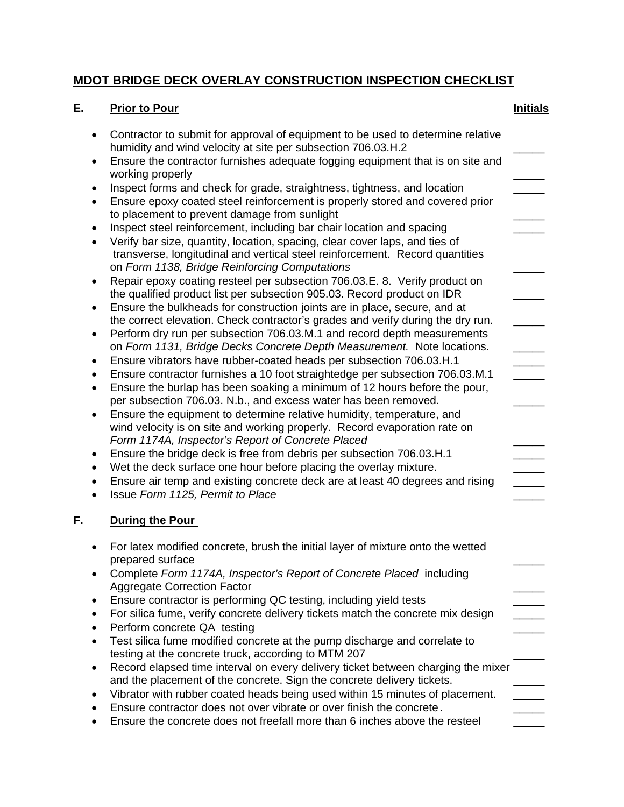## **MDOT BRIDGE DECK OVERLAY CONSTRUCTION INSPECTION CHECKLIST**

## **E. Prior to Pour Initials** Contractor to submit for approval of equipment to be used to determine relative humidity and wind velocity at site per subsection 706.03.H.2\_\_\_\_\_ Ensure the contractor furnishes adequate fogging equipment that is on site and working properly Inspect forms and check for grade, straightness, tightness, and location \_\_\_\_\_ Ensure epoxy coated steel reinforcement is properly stored and covered prior to placement to prevent damage from sunlight • Inspect steel reinforcement, including bar chair location and spacing Verify bar size, quantity, location, spacing, clear cover laps, and ties of transverse, longitudinal and vertical steel reinforcement. Record quantities on *Form 1138, Bridge Reinforcing Computations* \_\_\_\_\_ Repair epoxy coating resteel per subsection 706.03.E. 8. Verify product on the qualified product list per subsection 905.03. Record product on IDR \_\_\_\_\_ Ensure the bulkheads for construction joints are in place, secure, and at the correct elevation. Check contractor's grades and verify during the dry run. • Perform dry run per subsection 706.03.M.1 and record depth measurements on *Form 1131, Bridge Decks Concrete Depth Measurement*. Note locations. • Ensure vibrators have rubber-coated heads per subsection 706,03.H.1 Ensure contractor furnishes a 10 foot straightedge per subsection 706.03.M.1 \_\_\_\_\_ Ensure the burlap has been soaking a minimum of 12 hours before the pour, per subsection 706.03. N.b., and excess water has been removed.\_\_\_\_\_ Ensure the equipment to determine relative humidity, temperature, and wind velocity is on site and working properly. Record evaporation rate on *Form 1174A, Inspector's Report of Concrete Placed* \_\_\_\_\_ • Ensure the bridge deck is free from debris per subsection 706.03.H.1 • Wet the deck surface one hour before placing the overlay mixture. Ensure air temp and existing concrete deck are at least 40 degrees and rising \_\_\_\_\_ Issue *Form 1125, Permit to Place* \_\_\_\_\_ **F. During the Pour**  For latex modified concrete, brush the initial layer of mixture onto the wetted prepared surface Complete *Form 1174A, Inspector's Report of Concrete Placed* including Aggregate Correction Factor \_\_\_\_\_ Ensure contractor is performing QC testing, including yield tests \_\_\_\_\_ • For silica fume, verify concrete delivery tickets match the concrete mix design Perform concrete QA testing Test silica fume modified concrete at the pump discharge and correlate to testing at the concrete truck, according to MTM 207 Record elapsed time interval on every delivery ticket between charging the mixer and the placement of the concrete. Sign the concrete delivery tickets. • Vibrator with rubber coated heads being used within 15 minutes of placement. Ensure contractor does not over vibrate or over finish the concrete . \_\_\_\_\_

Ensure the concrete does not freefall more than 6 inches above the resteel \_\_\_\_\_